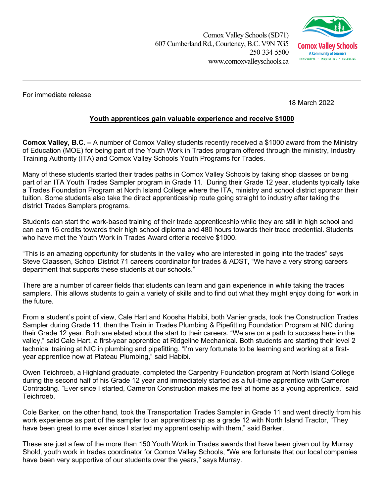Comox Valley Schools (SD71) 607 Cumberland Rd., Courtenay, B.C. V9N 7G5 250-334-5500 www.comoxvalleyschools.ca



For immediate release

18 March 2022

## **Youth apprentices gain valuable experience and receive \$1000**

**Comox Valley, B.C. –** A number of Comox Valley students recently received a \$1000 award from the Ministry of Education (MOE) for being part of the Youth Work in Trades program offered through the ministry, Industry Training Authority (ITA) and Comox Valley Schools Youth Programs for Trades.

Many of these students started their trades paths in Comox Valley Schools by taking shop classes or being part of an ITA Youth Trades Sampler program in Grade 11. During their Grade 12 year, students typically take a Trades Foundation Program at North Island College where the ITA, ministry and school district sponsor their tuition. Some students also take the direct apprenticeship route going straight to industry after taking the district Trades Samplers programs.

Students can start the work-based training of their trade apprenticeship while they are still in high school and can earn 16 credits towards their high school diploma and 480 hours towards their trade credential. Students who have met the Youth Work in Trades Award criteria receive \$1000.

"This is an amazing opportunity for students in the valley who are interested in going into the trades" says Steve Claassen, School District 71 careers coordinator for trades & ADST, "We have a very strong careers department that supports these students at our schools."

There are a number of career fields that students can learn and gain experience in while taking the trades samplers. This allows students to gain a variety of skills and to find out what they might enjoy doing for work in the future.

From a student's point of view, Cale Hart and Koosha Habibi, both Vanier grads, took the Construction Trades Sampler during Grade 11, then the Train in Trades Plumbing & Pipefitting Foundation Program at NIC during their Grade 12 year. Both are elated about the start to their careers. "We are on a path to success here in the valley," said Cale Hart, a first-year apprentice at Ridgeline Mechanical. Both students are starting their level 2 technical training at NIC in plumbing and pipefitting. "I'm very fortunate to be learning and working at a firstyear apprentice now at Plateau Plumbing," said Habibi.

Owen Teichroeb, a Highland graduate, completed the Carpentry Foundation program at North Island College during the second half of his Grade 12 year and immediately started as a full-time apprentice with Cameron Contracting. "Ever since I started, Cameron Construction makes me feel at home as a young apprentice," said Teichroeb.

Cole Barker, on the other hand, took the Transportation Trades Sampler in Grade 11 and went directly from his work experience as part of the sampler to an apprenticeship as a grade 12 with North Island Tractor, "They have been great to me ever since I started my apprenticeship with them," said Barker.

These are just a few of the more than 150 Youth Work in Trades awards that have been given out by Murray Shold, youth work in trades coordinator for Comox Valley Schools, "We are fortunate that our local companies have been very supportive of our students over the years," says Murray.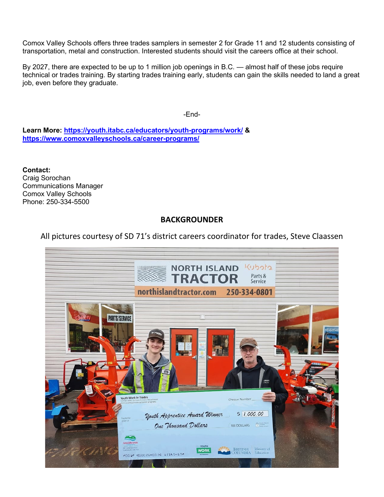Comox Valley Schools offers three trades samplers in semester 2 for Grade 11 and 12 students consisting of transportation, metal and construction. Interested students should visit the careers office at their school.

By 2027, there are expected to be up to 1 million job openings in B.C. — almost half of these jobs require technical or trades training. By starting trades training early, students can gain the skills needed to land a great job, even before they graduate.

-End-

**Learn More:<https://youth.itabc.ca/educators/youth-programs/work/> & <https://www.comoxvalleyschools.ca/career-programs/>**

**Contact:**  Craig Sorochan Communications Manager Comox Valley Schools Phone: 250-334-5500

## **BACKGROUNDER**

## All pictures courtesy of SD 71's district careers coordinator for trades, Steve Claassen

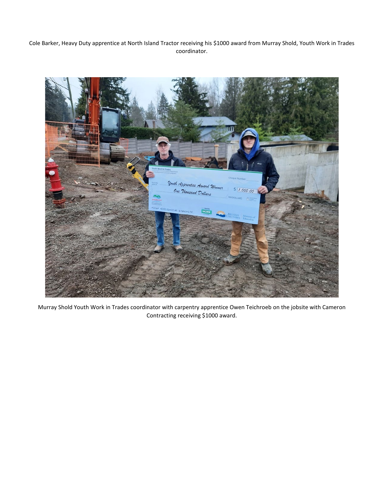Cole Barker, Heavy Duty apprentice at North Island Tractor receiving his \$1000 award from Murray Shold, Youth Work in Trades coordinator.



Murray Shold Youth Work in Trades coordinator with carpentry apprentice Owen Teichroeb on the jobsite with Cameron Contracting receiving \$1000 award.